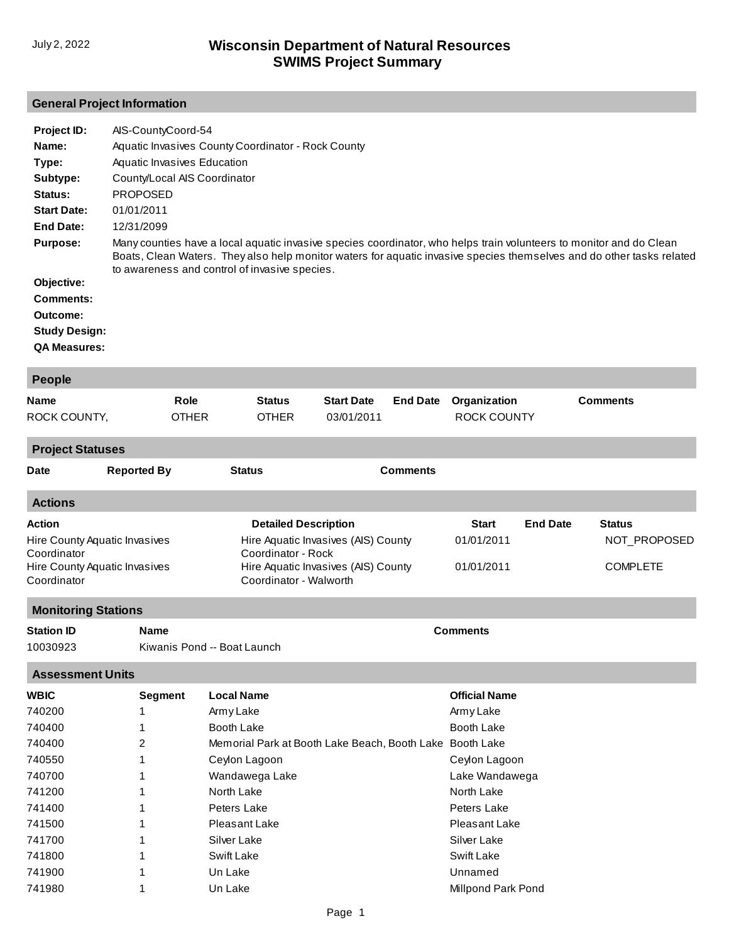# **General Project Information**

| Project ID:          | AIS-CountyCoord-54                                                                                                                                                                                                                                                                            |
|----------------------|-----------------------------------------------------------------------------------------------------------------------------------------------------------------------------------------------------------------------------------------------------------------------------------------------|
| Name:                | Aquatic Invasives County Coordinator - Rock County                                                                                                                                                                                                                                            |
| Type:                | Aquatic Invasives Education                                                                                                                                                                                                                                                                   |
| Subtype:             | County/Local AIS Coordinator                                                                                                                                                                                                                                                                  |
| Status:              | <b>PROPOSED</b>                                                                                                                                                                                                                                                                               |
| <b>Start Date:</b>   | 01/01/2011                                                                                                                                                                                                                                                                                    |
| End Date:            | 12/31/2099                                                                                                                                                                                                                                                                                    |
| <b>Purpose:</b>      | Many counties have a local aquatic invasive species coordinator, who helps train volunteers to monitor and do Clean<br>Boats, Clean Waters. They also help monitor waters for aquatic invasive species themselves and do other tasks related<br>to awareness and control of invasive species. |
| Objective:           |                                                                                                                                                                                                                                                                                               |
| Comments:            |                                                                                                                                                                                                                                                                                               |
| Outcome:             |                                                                                                                                                                                                                                                                                               |
| <b>Study Design:</b> |                                                                                                                                                                                                                                                                                               |
| <b>QA Measures:</b>  |                                                                                                                                                                                                                                                                                               |

| People                                                                                                        |                          |                      |                                                                             |                                                                            |                 |                                                        |                 |                                                  |
|---------------------------------------------------------------------------------------------------------------|--------------------------|----------------------|-----------------------------------------------------------------------------|----------------------------------------------------------------------------|-----------------|--------------------------------------------------------|-----------------|--------------------------------------------------|
| <b>Name</b><br>ROCK COUNTY,                                                                                   |                          | Role<br><b>OTHER</b> | <b>Status</b><br><b>OTHER</b>                                               | <b>Start Date</b><br>03/01/2011                                            | <b>End Date</b> | Organization<br><b>ROCK COUNTY</b>                     |                 | <b>Comments</b>                                  |
| <b>Project Statuses</b>                                                                                       |                          |                      |                                                                             |                                                                            |                 |                                                        |                 |                                                  |
| <b>Date</b>                                                                                                   | <b>Reported By</b>       |                      | <b>Status</b>                                                               |                                                                            | <b>Comments</b> |                                                        |                 |                                                  |
| <b>Actions</b>                                                                                                |                          |                      |                                                                             |                                                                            |                 |                                                        |                 |                                                  |
| <b>Action</b><br>Hire County Aquatic Invasives<br>Coordinator<br>Hire County Aquatic Invasives<br>Coordinator |                          |                      | <b>Detailed Description</b><br>Coordinator - Rock<br>Coordinator - Walworth | Hire Aquatic Invasives (AIS) County<br>Hire Aquatic Invasives (AIS) County |                 | Start<br>01/01/2011<br>01/01/2011                      | <b>End Date</b> | <b>Status</b><br>NOT_PROPOSED<br><b>COMPLETE</b> |
| <b>Monitoring Stations</b>                                                                                    |                          |                      |                                                                             |                                                                            |                 |                                                        |                 |                                                  |
| <b>Station ID</b><br><b>Comments</b><br>Name<br>10030923<br>Kiwanis Pond -- Boat Launch                       |                          |                      |                                                                             |                                                                            |                 |                                                        |                 |                                                  |
| <b>Assessment Units</b>                                                                                       |                          |                      |                                                                             |                                                                            |                 |                                                        |                 |                                                  |
| <b>WBIC</b><br>740200<br>740400                                                                               | <b>Segment</b><br>1<br>1 |                      | <b>Local Name</b><br>Army Lake<br>Booth Lake                                |                                                                            |                 | <b>Official Name</b><br>Army Lake<br><b>Booth Lake</b> |                 |                                                  |
| 740400<br>740550                                                                                              | 2<br>1                   |                      | Memorial Park at Booth Lake Beach, Booth Lake Booth Lake<br>Ceylon Lagoon   |                                                                            |                 | Ceylon Lagoon                                          |                 |                                                  |
| 740700<br>741200                                                                                              | 1<br>1                   |                      | Wandawega Lake<br>North Lake                                                |                                                                            |                 | Lake Wandawega<br>North Lake                           |                 |                                                  |
| 741400<br>741500<br>741700                                                                                    | 1<br>1<br>1              |                      | Peters Lake<br>Pleasant Lake<br>Silver Lake                                 |                                                                            |                 | Peters Lake<br>Pleasant Lake<br>Silver Lake            |                 |                                                  |
| 741800<br>741900<br>741980                                                                                    | 1<br>1<br>1              |                      | Swift Lake<br>Un Lake<br>Un Lake                                            |                                                                            |                 | Swift Lake<br>Unnamed<br><b>Millpond Park Pond</b>     |                 |                                                  |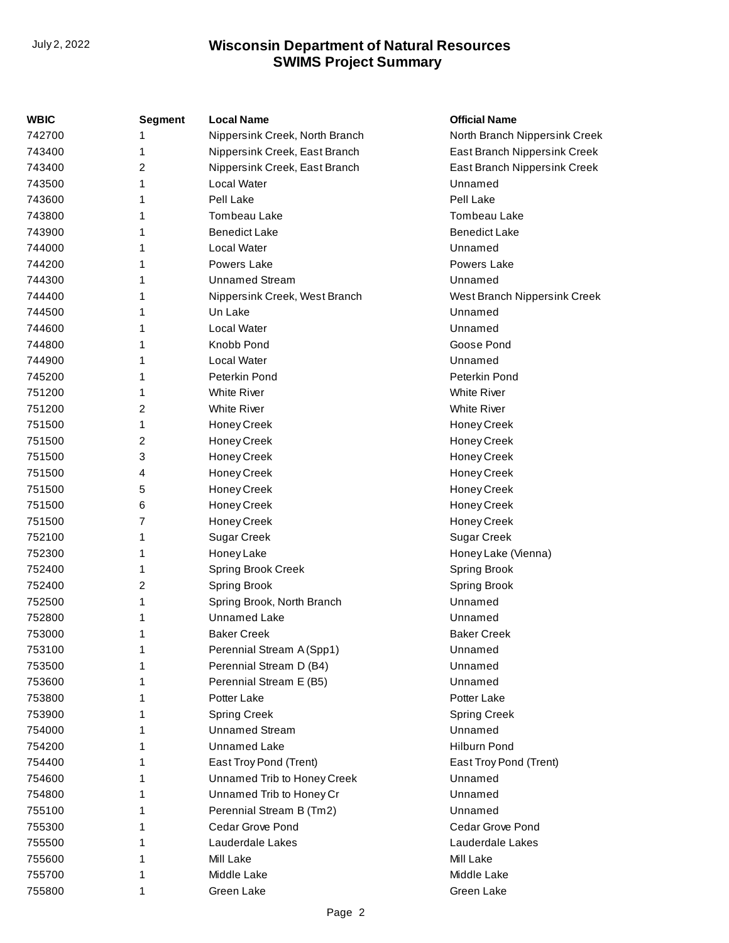| WBIC   | <b>Segment</b> | <b>Local Name</b>              | <b>Official Name</b>          |
|--------|----------------|--------------------------------|-------------------------------|
| 742700 |                | Nippersink Creek, North Branch | North Branch Nippersink Creek |
| 743400 | 1              | Nippersink Creek, East Branch  | East Branch Nippersink Creek  |
| 743400 | 2              | Nippersink Creek, East Branch  | East Branch Nippersink Creek  |
| 743500 | 1              | Local Water                    | Unnamed                       |
| 743600 | 1              | Pell Lake                      | Pell Lake                     |
| 743800 | 1              | Tombeau Lake                   | Tombeau Lake                  |
| 743900 | 1              | <b>Benedict Lake</b>           | <b>Benedict Lake</b>          |
| 744000 | 1              | Local Water                    | Unnamed                       |
| 744200 | 1              | Powers Lake                    | Powers Lake                   |
| 744300 | 1              | <b>Unnamed Stream</b>          | Unnamed                       |
| 744400 | 1              | Nippersink Creek, West Branch  | West Branch Nippersink Creek  |
| 744500 | 1              | Un Lake                        | Unnamed                       |
| 744600 | 1              | Local Water                    | Unnamed                       |
| 744800 | 1              | Knobb Pond                     | Goose Pond                    |
| 744900 | 1              | Local Water                    | Unnamed                       |
| 745200 | 1              | Peterkin Pond                  | Peterkin Pond                 |
| 751200 | 1              | <b>White River</b>             | <b>White River</b>            |
| 751200 | 2              | <b>White River</b>             | <b>White River</b>            |
| 751500 | 1              | Honey Creek                    | Honey Creek                   |
| 751500 | 2              | Honey Creek                    | Honey Creek                   |
| 751500 | 3              | Honey Creek                    | Honey Creek                   |
| 751500 | 4              | Honey Creek                    | Honey Creek                   |
| 751500 | 5              | Honey Creek                    | Honey Creek                   |
| 751500 | 6              | Honey Creek                    | Honey Creek                   |
| 751500 | 7              | Honey Creek                    | Honey Creek                   |
| 752100 | 1              | <b>Sugar Creek</b>             | Sugar Creek                   |
| 752300 | 1              | Honey Lake                     | Honey Lake (Vienna)           |
| 752400 | 1              | Spring Brook Creek             | Spring Brook                  |
| 752400 | 2              | <b>Spring Brook</b>            | Spring Brook                  |
| 752500 | 1              | Spring Brook, North Branch     | Unnamed                       |
| 752800 | 1              | <b>Unnamed Lake</b>            | Unnamed                       |
| 753000 | 1              | <b>Baker Creek</b>             | <b>Baker Creek</b>            |
| 753100 | 1              | Perennial Stream A (Spp1)      | Unnamed                       |
| 753500 | 1              | Perennial Stream D (B4)        | Unnamed                       |
| 753600 | 1              | Perennial Stream E (B5)        | Unnamed                       |
| 753800 | 1              | Potter Lake                    | Potter Lake                   |
| 753900 | 1              | <b>Spring Creek</b>            | <b>Spring Creek</b>           |
| 754000 | 1              | <b>Unnamed Stream</b>          | Unnamed                       |
| 754200 | 1              | <b>Unnamed Lake</b>            | <b>Hilburn Pond</b>           |
| 754400 | 1              | East Troy Pond (Trent)         | East Troy Pond (Trent)        |
| 754600 | 1              | Unnamed Trib to Honey Creek    | Unnamed                       |
| 754800 | 1              | Unnamed Trib to Honey Cr       | Unnamed                       |
| 755100 | 1              | Perennial Stream B (Tm2)       | Unnamed                       |
| 755300 | 1              | Cedar Grove Pond               | Cedar Grove Pond              |
| 755500 | 1              | Lauderdale Lakes               | Lauderdale Lakes              |
| 755600 | 1              | Mill Lake                      | Mill Lake                     |
| 755700 | 1              | Middle Lake                    | Middle Lake                   |
| 755800 | 1              | Green Lake                     | Green Lake                    |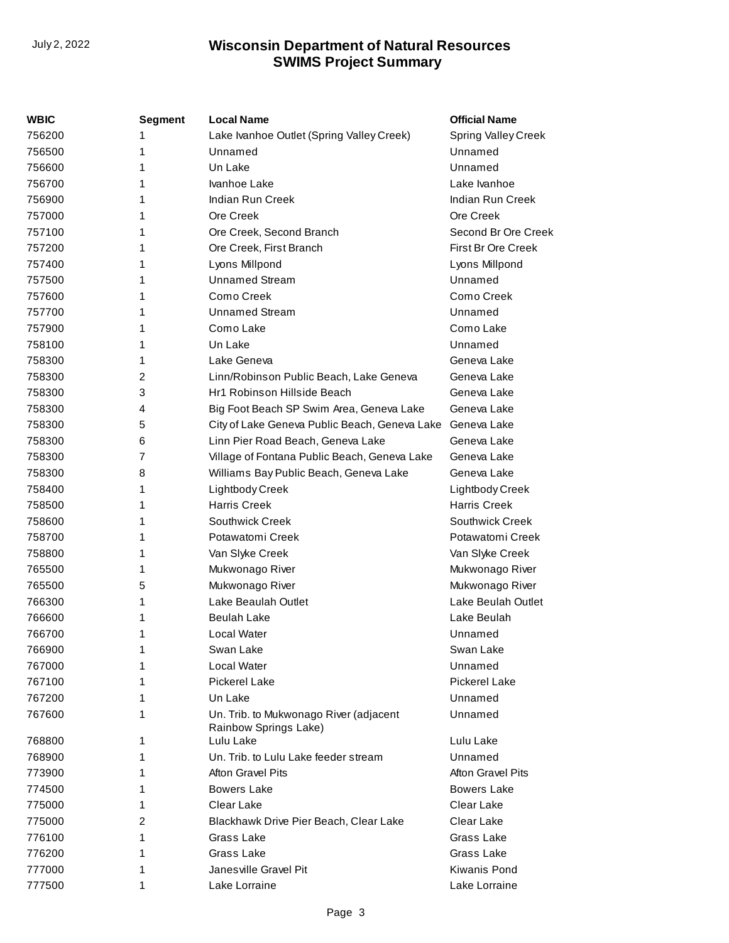| <b>WBIC</b> | Segment        | <b>Local Name</b>                                               | <b>Official Name</b>     |
|-------------|----------------|-----------------------------------------------------------------|--------------------------|
| 756200      | 1              | Lake Ivanhoe Outlet (Spring Valley Creek)                       | Spring Valley Creek      |
| 756500      | 1              | Unnamed                                                         | Unnamed                  |
| 756600      | 1              | Un Lake                                                         | Unnamed                  |
| 756700      | 1              | Ivanhoe Lake                                                    | Lake Ivanhoe             |
| 756900      | 1              | Indian Run Creek                                                | Indian Run Creek         |
| 757000      | 1              | Ore Creek                                                       | Ore Creek                |
| 757100      | 1              | Ore Creek, Second Branch                                        | Second Br Ore Creek      |
| 757200      | 1              | Ore Creek, First Branch                                         | First Br Ore Creek       |
| 757400      | 1              | Lyons Millpond                                                  | Lyons Millpond           |
| 757500      | 1              | <b>Unnamed Stream</b>                                           | Unnamed                  |
| 757600      | 1              | Como Creek                                                      | Como Creek               |
| 757700      | 1              | <b>Unnamed Stream</b>                                           | Unnamed                  |
| 757900      | 1              | Como Lake                                                       | Como Lake                |
| 758100      | 1              | Un Lake                                                         | Unnamed                  |
| 758300      | 1              | Lake Geneva                                                     | Geneva Lake              |
| 758300      | $\overline{2}$ | Linn/Robinson Public Beach, Lake Geneva                         | Geneva Lake              |
| 758300      | 3              | Hr1 Robinson Hillside Beach                                     | Geneva Lake              |
| 758300      | 4              | Big Foot Beach SP Swim Area, Geneva Lake                        | Geneva Lake              |
| 758300      | 5              | City of Lake Geneva Public Beach, Geneva Lake                   | Geneva Lake              |
| 758300      | 6              | Linn Pier Road Beach, Geneva Lake                               | Geneva Lake              |
| 758300      | 7              | Village of Fontana Public Beach, Geneva Lake                    | Geneva Lake              |
| 758300      | 8              | Williams Bay Public Beach, Geneva Lake                          | Geneva Lake              |
| 758400      | 1              | Lightbody Creek                                                 | Lightbody Creek          |
| 758500      | 1              | <b>Harris Creek</b>                                             | <b>Harris Creek</b>      |
| 758600      | 1              | Southwick Creek                                                 | Southwick Creek          |
| 758700      | 1              | Potawatomi Creek                                                | Potawatomi Creek         |
| 758800      | 1              | Van Slyke Creek                                                 | Van Slyke Creek          |
| 765500      | 1              | Mukwonago River                                                 | Mukwonago River          |
| 765500      | 5              | Mukwonago River                                                 | Mukwonago River          |
| 766300      | 1              | Lake Beaulah Outlet                                             | Lake Beulah Outlet       |
| 766600      | 1              | Beulah Lake                                                     | Lake Beulah              |
| 766700      | 1              | Local Water                                                     | Unnamed                  |
| 766900      | 1              | Swan Lake                                                       | Swan Lake                |
| 767000      | 1              | Local Water                                                     | Unnamed                  |
| 767100      | 1              | <b>Pickerel Lake</b>                                            | Pickerel Lake            |
| 767200      | 1              | Un Lake                                                         | Unnamed                  |
| 767600      | 1              | Un. Trib. to Mukwonago River (adjacent<br>Rainbow Springs Lake) | Unnamed                  |
| 768800      | 1              | Lulu Lake                                                       | Lulu Lake                |
| 768900      | 1              | Un. Trib. to Lulu Lake feeder stream                            | Unnamed                  |
| 773900      | 1              | Afton Gravel Pits                                               | <b>Afton Gravel Pits</b> |
| 774500      | 1              | <b>Bowers Lake</b>                                              | <b>Bowers Lake</b>       |
| 775000      | 1              | Clear Lake                                                      | Clear Lake               |
| 775000      | 2              | Blackhawk Drive Pier Beach, Clear Lake                          | Clear Lake               |
| 776100      | 1              | Grass Lake                                                      | Grass Lake               |
| 776200      | 1              | Grass Lake                                                      | Grass Lake               |
| 777000      | 1              | Janes ville Gravel Pit                                          | Kiwanis Pond             |
| 777500      | 1              | Lake Lorraine                                                   | Lake Lorraine            |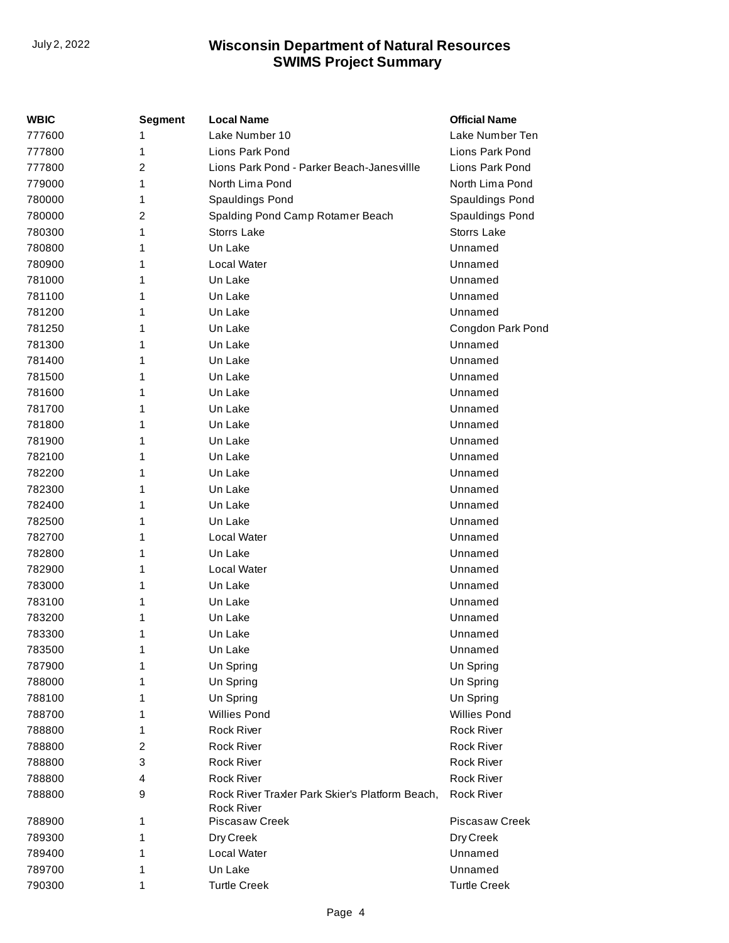| <b>WBIC</b> | <b>Segment</b> | <b>Local Name</b>                                                    | <b>Official Name</b> |
|-------------|----------------|----------------------------------------------------------------------|----------------------|
| 777600      | 1              | Lake Number 10                                                       | Lake Number Ten      |
| 777800      | 1              | Lions Park Pond                                                      | Lions Park Pond      |
| 777800      | 2              | Lions Park Pond - Parker Beach-Janesvillle                           | Lions Park Pond      |
| 779000      | 1              | North Lima Pond                                                      | North Lima Pond      |
| 780000      | 1              | Spauldings Pond                                                      | Spauldings Pond      |
| 780000      | $\overline{c}$ | Spalding Pond Camp Rotamer Beach                                     | Spauldings Pond      |
| 780300      | 1              | <b>Storrs Lake</b>                                                   | Storrs Lake          |
| 780800      | 1              | Un Lake                                                              | Unnamed              |
| 780900      | 1              | Local Water                                                          | Unnamed              |
| 781000      | 1              | Un Lake                                                              | Unnamed              |
| 781100      | 1              | Un Lake                                                              | Unnamed              |
| 781200      | 1              | Un Lake                                                              | Unnamed              |
| 781250      | 1              | Un Lake                                                              | Congdon Park Pond    |
| 781300      | 1              | Un Lake                                                              | Unnamed              |
| 781400      | 1              | Un Lake                                                              | Unnamed              |
| 781500      | 1              | Un Lake                                                              | Unnamed              |
| 781600      | 1              | Un Lake                                                              | Unnamed              |
| 781700      | 1              | Un Lake                                                              | Unnamed              |
| 781800      | 1              | Un Lake                                                              | Unnamed              |
| 781900      | 1              | Un Lake                                                              | Unnamed              |
| 782100      | 1              | Un Lake                                                              | Unnamed              |
| 782200      | 1              | Un Lake                                                              | Unnamed              |
| 782300      | 1              | Un Lake                                                              | Unnamed              |
| 782400      | 1              | Un Lake                                                              | Unnamed              |
| 782500      | 1              | Un Lake                                                              | Unnamed              |
| 782700      | 1              | Local Water                                                          | Unnamed              |
| 782800      | 1              | Un Lake                                                              | Unnamed              |
| 782900      | 1              | Local Water                                                          | Unnamed              |
| 783000      | 1              | Un Lake                                                              | Unnamed              |
| 783100      | 1              | Un Lake                                                              | Unnamed              |
| 783200      | 1              | Un Lake                                                              | Unnamed              |
| 783300      | 1              | Un Lake                                                              | Unnamed              |
| 783500      | 1              | Un Lake                                                              | Unnamed              |
| 787900      | 1              | Un Spring                                                            | Un Spring            |
| 788000      | 1              | Un Spring                                                            | Un Spring            |
| 788100      | 1              | Un Spring                                                            | Un Spring            |
| 788700      | 1              | <b>Willies Pond</b>                                                  | <b>Willies Pond</b>  |
| 788800      | 1              | <b>Rock River</b>                                                    | <b>Rock River</b>    |
| 788800      | 2              | <b>Rock River</b>                                                    | <b>Rock River</b>    |
| 788800      | 3              | <b>Rock River</b>                                                    | <b>Rock River</b>    |
| 788800      | 4              | <b>Rock River</b>                                                    | <b>Rock River</b>    |
| 788800      | 9              | Rock River Traxler Park Skier's Platform Beach,<br><b>Rock River</b> | <b>Rock River</b>    |
| 788900      | 1              | <b>Piscasaw Creek</b>                                                | Piscasaw Creek       |
| 789300      | 1              | Dry Creek                                                            | Dry Creek            |
| 789400      | 1              | Local Water                                                          | Unnamed              |
| 789700      | 1              | Un Lake                                                              | Unnamed              |
| 790300      | 1              | <b>Turtle Creek</b>                                                  | <b>Turtle Creek</b>  |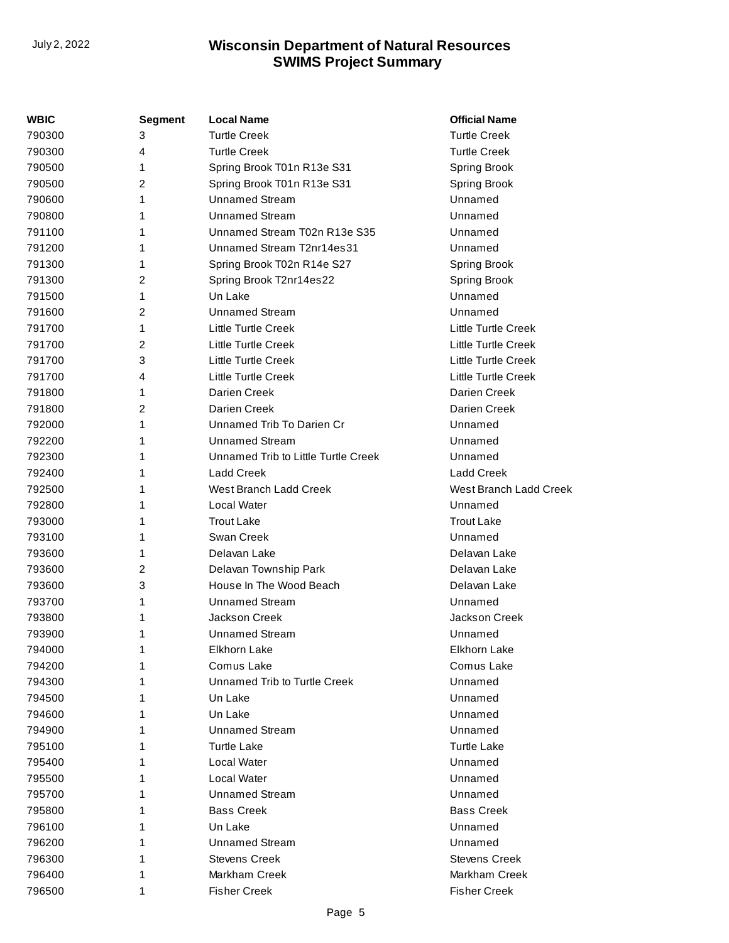| WBIC   | <b>Segment</b> | <b>Local Name</b>                   | <b>Official Name</b>       |
|--------|----------------|-------------------------------------|----------------------------|
| 790300 | 3              | <b>Turtle Creek</b>                 | <b>Turtle Creek</b>        |
| 790300 | 4              | <b>Turtle Creek</b>                 | <b>Turtle Creek</b>        |
| 790500 | 1              | Spring Brook T01n R13e S31          | <b>Spring Brook</b>        |
| 790500 | 2              | Spring Brook T01n R13e S31          | <b>Spring Brook</b>        |
| 790600 | 1              | <b>Unnamed Stream</b>               | Unnamed                    |
| 790800 | 1              | <b>Unnamed Stream</b>               | Unnamed                    |
| 791100 | 1              | Unnamed Stream T02n R13e S35        | Unnamed                    |
| 791200 | 1              | Unnamed Stream T2nr14es31           | Unnamed                    |
| 791300 | 1              | Spring Brook T02n R14e S27          | <b>Spring Brook</b>        |
| 791300 | 2              | Spring Brook T2nr14es22             | Spring Brook               |
| 791500 | 1              | Un Lake                             | Unnamed                    |
| 791600 | $\overline{2}$ | Unnamed Stream                      | Unnamed                    |
| 791700 | 1              | Little Turtle Creek                 | Little Turtle Creek        |
| 791700 | 2              | Little Turtle Creek                 | <b>Little Turtle Creek</b> |
| 791700 | 3              | Little Turtle Creek                 | <b>Little Turtle Creek</b> |
| 791700 | 4              | Little Turtle Creek                 | <b>Little Turtle Creek</b> |
| 791800 | 1              | Darien Creek                        | Darien Creek               |
| 791800 | 2              | Darien Creek                        | Darien Creek               |
| 792000 | 1              | Unnamed Trib To Darien Cr           | Unnamed                    |
| 792200 | 1              | <b>Unnamed Stream</b>               | Unnamed                    |
| 792300 | 1              | Unnamed Trib to Little Turtle Creek | Unnamed                    |
| 792400 | 1              | <b>Ladd Creek</b>                   | <b>Ladd Creek</b>          |
| 792500 | 1              | West Branch Ladd Creek              | West Branch Ladd Creek     |
| 792800 | 1              | Local Water                         | Unnamed                    |
| 793000 | 1              | <b>Trout Lake</b>                   | <b>Trout Lake</b>          |
| 793100 | 1              | Swan Creek                          | Unnamed                    |
| 793600 | 1              | Delavan Lake                        | Delavan Lake               |
| 793600 | 2              | Delavan Township Park               | Delavan Lake               |
| 793600 | 3              | House In The Wood Beach             | Delavan Lake               |
| 793700 | 1              | <b>Unnamed Stream</b>               | Unnamed                    |
| 793800 | 1              | Jackson Creek                       | Jackson Creek              |
| 793900 | 1              | <b>Unnamed Stream</b>               | Unnamed                    |
| 794000 | 1              | Elkhorn Lake                        | Elkhorn Lake               |
| 794200 | 1              | Comus Lake                          | Comus Lake                 |
| 794300 | 1              | Unnamed Trib to Turtle Creek        | Unnamed                    |
| 794500 | 1              | Un Lake                             | Unnamed                    |
| 794600 | 1              | Un Lake                             | Unnamed                    |
| 794900 | 1              | <b>Unnamed Stream</b>               | Unnamed                    |
| 795100 | 1              | <b>Turtle Lake</b>                  | <b>Turtle Lake</b>         |
| 795400 | 1              | Local Water                         | Unnamed                    |
| 795500 | 1              | Local Water                         | Unnamed                    |
| 795700 | 1              | <b>Unnamed Stream</b>               | Unnamed                    |
| 795800 | 1              | <b>Bass Creek</b>                   | <b>Bass Creek</b>          |
| 796100 |                | Un Lake                             | Unnamed                    |
| 796200 |                | <b>Unnamed Stream</b>               | Unnamed                    |
| 796300 | 1              | <b>Stevens Creek</b>                | <b>Stevens Creek</b>       |
| 796400 | 1              | Markham Creek                       | Markham Creek              |
| 796500 | 1              | <b>Fisher Creek</b>                 | <b>Fisher Creek</b>        |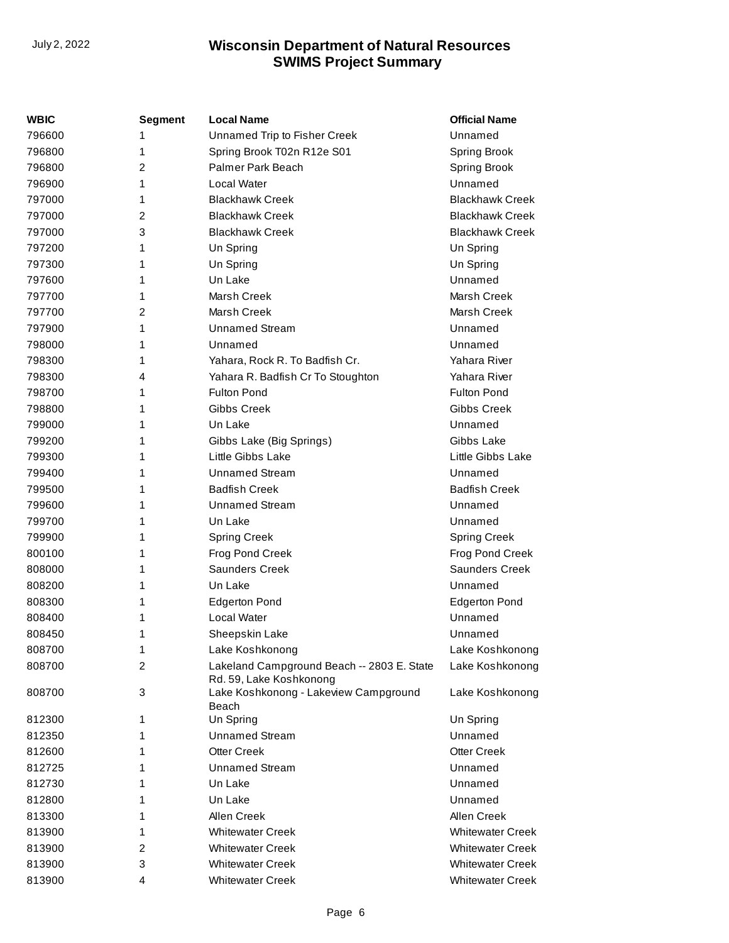| WBIC   | <b>Segment</b> | <b>Local Name</b>                                                     | <b>Official Name</b>    |
|--------|----------------|-----------------------------------------------------------------------|-------------------------|
| 796600 | 1              | Unnamed Trip to Fisher Creek                                          | Unnamed                 |
| 796800 | 1              | Spring Brook T02n R12e S01                                            | Spring Brook            |
| 796800 | 2              | Palmer Park Beach                                                     | Spring Brook            |
| 796900 | 1              | Local Water                                                           | Unnamed                 |
| 797000 | 1              | <b>Blackhawk Creek</b>                                                | <b>Blackhawk Creek</b>  |
| 797000 | 2              | <b>Blackhawk Creek</b>                                                | <b>Blackhawk Creek</b>  |
| 797000 | 3              | <b>Blackhawk Creek</b>                                                | <b>Blackhawk Creek</b>  |
| 797200 | 1              | Un Spring                                                             | Un Spring               |
| 797300 | 1              | Un Spring                                                             | Un Spring               |
| 797600 | 1              | Un Lake                                                               | Unnamed                 |
| 797700 | 1              | <b>Marsh Creek</b>                                                    | Marsh Creek             |
| 797700 | 2              | Marsh Creek                                                           | Marsh Creek             |
| 797900 | 1              | <b>Unnamed Stream</b>                                                 | Unnamed                 |
| 798000 | 1              | Unnamed                                                               | Unnamed                 |
| 798300 | 1              | Yahara, Rock R. To Badfish Cr.                                        | Yahara River            |
| 798300 | 4              | Yahara R. Badfish Cr To Stoughton                                     | Yahara River            |
| 798700 | 1              | <b>Fulton Pond</b>                                                    | <b>Fulton Pond</b>      |
| 798800 | 1              | Gibbs Creek                                                           | Gibbs Creek             |
| 799000 | 1              | Un Lake                                                               | Unnamed                 |
| 799200 | 1              | Gibbs Lake (Big Springs)                                              | Gibbs Lake              |
| 799300 | 1              | Little Gibbs Lake                                                     | Little Gibbs Lake       |
| 799400 | 1              | <b>Unnamed Stream</b>                                                 | Unnamed                 |
| 799500 | 1              | <b>Badfish Creek</b>                                                  | <b>Badfish Creek</b>    |
| 799600 | 1              | <b>Unnamed Stream</b>                                                 | Unnamed                 |
| 799700 | 1              | Un Lake                                                               | Unnamed                 |
| 799900 | 1              | <b>Spring Creek</b>                                                   | <b>Spring Creek</b>     |
| 800100 | 1              | Frog Pond Creek                                                       | Frog Pond Creek         |
| 808000 | 1              | <b>Saunders Creek</b>                                                 | <b>Saunders Creek</b>   |
| 808200 | 1              | Un Lake                                                               | Unnamed                 |
| 808300 | 1              | <b>Edgerton Pond</b>                                                  | <b>Edgerton Pond</b>    |
| 808400 | 1              | Local Water                                                           | Unnamed                 |
| 808450 | 1              | Sheepskin Lake                                                        | Unnamed                 |
| 808700 | 1              | Lake Koshkonong                                                       | Lake Koshkonong         |
| 808700 | 2              | Lakeland Campground Beach -- 2803 E. State<br>Rd. 59, Lake Koshkonong | Lake Koshkonong         |
| 808700 | 3              | Lake Koshkonong - Lakeview Campground<br>Beach                        | Lake Koshkonong         |
| 812300 | 1              | Un Spring                                                             | Un Spring               |
| 812350 | 1              | <b>Unnamed Stream</b>                                                 | Unnamed                 |
| 812600 | 1              | <b>Otter Creek</b>                                                    | Otter Creek             |
| 812725 | 1              | <b>Unnamed Stream</b>                                                 | Unnamed                 |
| 812730 | 1              | Un Lake                                                               | Unnamed                 |
| 812800 | 1              | Un Lake                                                               | Unnamed                 |
| 813300 | 1              | Allen Creek                                                           | Allen Creek             |
| 813900 | 1              | <b>Whitewater Creek</b>                                               | <b>Whitewater Creek</b> |
| 813900 | 2              | <b>Whitewater Creek</b>                                               | <b>Whitewater Creek</b> |
| 813900 | 3              | <b>Whitewater Creek</b>                                               | <b>Whitewater Creek</b> |
| 813900 | 4              | <b>Whitewater Creek</b>                                               | <b>Whitewater Creek</b> |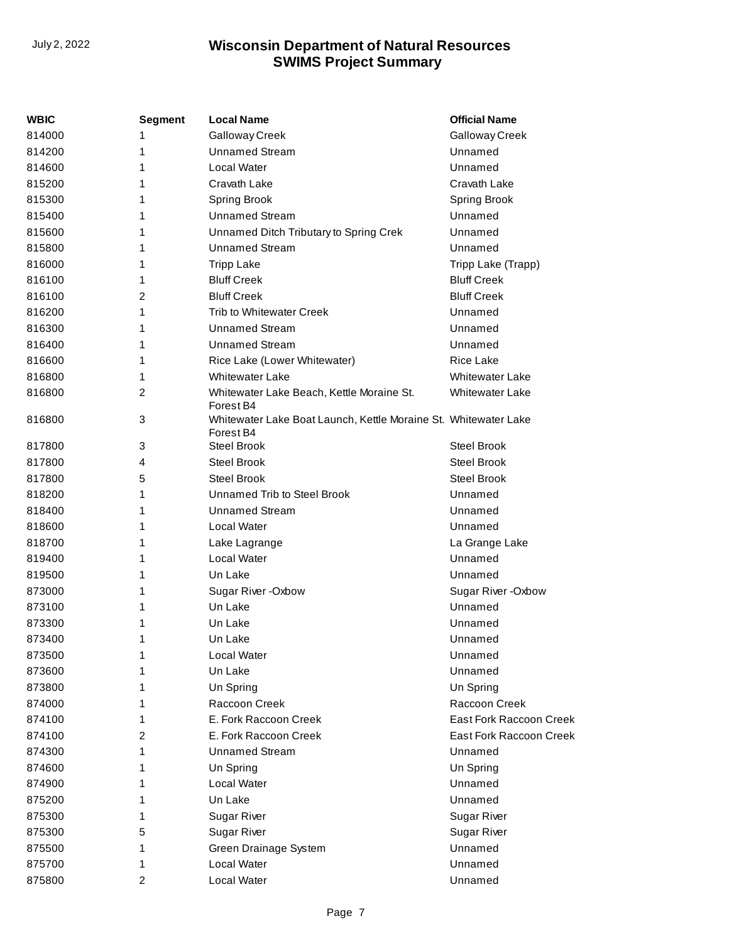| WBIC   | <b>Segment</b> | <b>Local Name</b>                                                            | <b>Official Name</b>    |
|--------|----------------|------------------------------------------------------------------------------|-------------------------|
| 814000 | 1              | Galloway Creek                                                               | Galloway Creek          |
| 814200 | 1              | <b>Unnamed Stream</b>                                                        | Unnamed                 |
| 814600 | 1              | Local Water                                                                  | Unnamed                 |
| 815200 | 1              | Cravath Lake                                                                 | Cravath Lake            |
| 815300 | 1              | Spring Brook                                                                 | <b>Spring Brook</b>     |
| 815400 | 1              | <b>Unnamed Stream</b>                                                        | Unnamed                 |
| 815600 | 1              | Unnamed Ditch Tributary to Spring Crek                                       | Unnamed                 |
| 815800 | 1              | <b>Unnamed Stream</b>                                                        | Unnamed                 |
| 816000 | 1              | <b>Tripp Lake</b>                                                            | Tripp Lake (Trapp)      |
| 816100 | 1              | <b>Bluff Creek</b>                                                           | <b>Bluff Creek</b>      |
| 816100 | 2              | <b>Bluff Creek</b>                                                           | <b>Bluff Creek</b>      |
| 816200 | 1              | Trib to Whitewater Creek                                                     | Unnamed                 |
| 816300 | 1              | <b>Unnamed Stream</b>                                                        | Unnamed                 |
| 816400 | 1              | <b>Unnamed Stream</b>                                                        | Unnamed                 |
| 816600 | 1              | Rice Lake (Lower Whitewater)                                                 | <b>Rice Lake</b>        |
| 816800 | 1              | <b>Whitewater Lake</b>                                                       | <b>Whitewater Lake</b>  |
| 816800 | 2              | Whitewater Lake Beach, Kettle Moraine St.<br>Forest B4                       | <b>Whitewater Lake</b>  |
| 816800 | 3              | Whitewater Lake Boat Launch, Kettle Moraine St. Whitewater Lake<br>Forest B4 |                         |
| 817800 | 3              | <b>Steel Brook</b>                                                           | <b>Steel Brook</b>      |
| 817800 | 4              | <b>Steel Brook</b>                                                           | <b>Steel Brook</b>      |
| 817800 | 5              | <b>Steel Brook</b>                                                           | <b>Steel Brook</b>      |
| 818200 | 1              | Unnamed Trib to Steel Brook                                                  | Unnamed                 |
| 818400 | 1              | <b>Unnamed Stream</b>                                                        | Unnamed                 |
| 818600 | 1              | Local Water                                                                  | Unnamed                 |
| 818700 | 1              | Lake Lagrange                                                                | La Grange Lake          |
| 819400 | 1              | Local Water                                                                  | Unnamed                 |
| 819500 | 1              | Un Lake                                                                      | Unnamed                 |
| 873000 | 1              | Sugar River - Oxbow                                                          | Sugar River - Oxbow     |
| 873100 | 1              | Un Lake                                                                      | Unnamed                 |
| 873300 | 1              | Un Lake                                                                      | Unnamed                 |
| 873400 | 1              | Un Lake                                                                      | Unnamed                 |
| 873500 | 1              | Local Water                                                                  | Unnamed                 |
| 873600 | 1              | Un Lake                                                                      | Unnamed                 |
| 873800 | 1              | Un Spring                                                                    | Un Spring               |
| 874000 | 1              | Raccoon Creek                                                                | Raccoon Creek           |
| 874100 | 1              | E. Fork Raccoon Creek                                                        | East Fork Raccoon Creek |
| 874100 | 2              | E. Fork Raccoon Creek                                                        | East Fork Raccoon Creek |
| 874300 | 1              | <b>Unnamed Stream</b>                                                        | Unnamed                 |
| 874600 | 1              | Un Spring                                                                    | Un Spring               |
| 874900 | 1              | Local Water                                                                  | Unnamed                 |
| 875200 | 1              | Un Lake                                                                      | Unnamed                 |
| 875300 | 1              | <b>Sugar River</b>                                                           | Sugar River             |
| 875300 | 5              | Sugar River                                                                  | Sugar River             |
| 875500 | 1              | Green Drainage System                                                        | Unnamed                 |
| 875700 | 1              | Local Water                                                                  | Unnamed                 |
| 875800 | 2              | Local Water                                                                  | Unnamed                 |
|        |                |                                                                              |                         |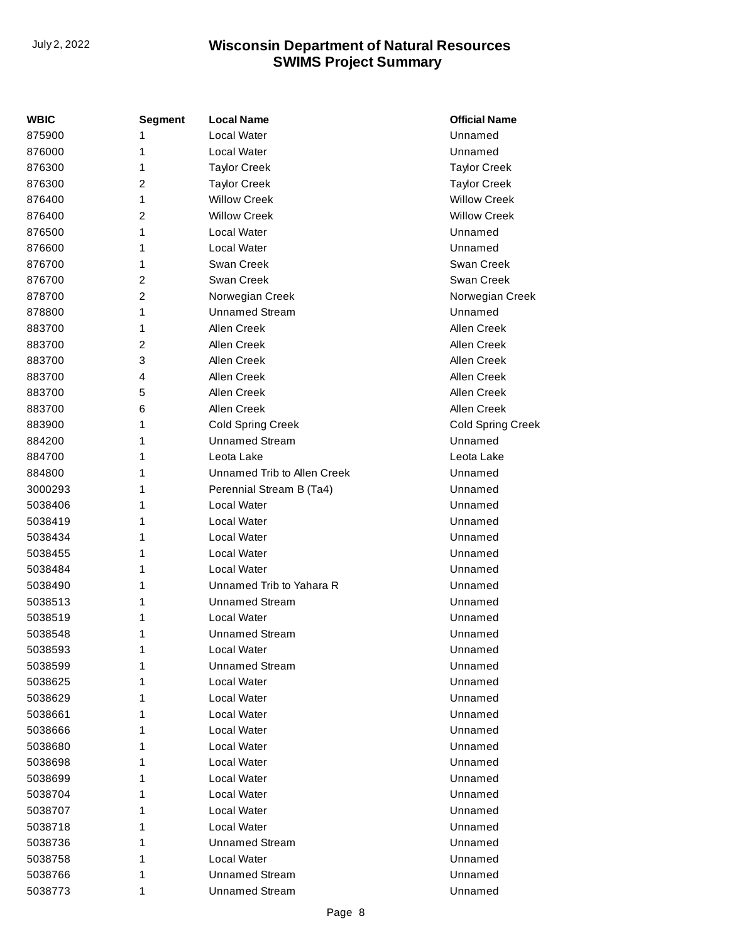| WBIC    | <b>Segment</b> | <b>Local Name</b>           | <b>Official Name</b>     |
|---------|----------------|-----------------------------|--------------------------|
| 875900  |                | Local Water                 | Unnamed                  |
| 876000  | 1              | Local Water                 | Unnamed                  |
| 876300  | 1              | <b>Taylor Creek</b>         | <b>Taylor Creek</b>      |
| 876300  | 2              | <b>Taylor Creek</b>         | <b>Taylor Creek</b>      |
| 876400  | 1              | <b>Willow Creek</b>         | <b>Willow Creek</b>      |
| 876400  | 2              | <b>Willow Creek</b>         | <b>Willow Creek</b>      |
| 876500  | 1              | Local Water                 | Unnamed                  |
| 876600  | 1              | Local Water                 | Unnamed                  |
| 876700  | 1              | Swan Creek                  | Swan Creek               |
| 876700  | 2              | Swan Creek                  | Swan Creek               |
| 878700  | 2              | Norwegian Creek             | Norwegian Creek          |
| 878800  | 1              | <b>Unnamed Stream</b>       | Unnamed                  |
| 883700  | 1              | Allen Creek                 | Allen Creek              |
| 883700  | 2              | Allen Creek                 | Allen Creek              |
| 883700  | 3              | Allen Creek                 | Allen Creek              |
| 883700  | 4              | Allen Creek                 | Allen Creek              |
| 883700  | 5              | Allen Creek                 | Allen Creek              |
| 883700  | 6              | Allen Creek                 | Allen Creek              |
| 883900  | 1              | <b>Cold Spring Creek</b>    | <b>Cold Spring Creek</b> |
| 884200  | 1              | <b>Unnamed Stream</b>       | Unnamed                  |
| 884700  | 1              | Leota Lake                  | Leota Lake               |
| 884800  | 1              | Unnamed Trib to Allen Creek | Unnamed                  |
| 3000293 | 1              | Perennial Stream B (Ta4)    | Unnamed                  |
| 5038406 | 1              | Local Water                 | Unnamed                  |
| 5038419 | 1              | Local Water                 | Unnamed                  |
| 5038434 | 1              | <b>Local Water</b>          | Unnamed                  |
| 5038455 | 1              | <b>Local Water</b>          | Unnamed                  |
| 5038484 | 1              | <b>Local Water</b>          | Unnamed                  |
| 5038490 | 1              | Unnamed Trib to Yahara R    | Unnamed                  |
| 5038513 | 1              | <b>Unnamed Stream</b>       | Unnamed                  |
| 5038519 | 1              | Local Water                 | Unnamed                  |
| 5038548 | 1              | <b>Unnamed Stream</b>       | Unnamed                  |
| 5038593 | 1              | Local Water                 | Unnamed                  |
| 5038599 | 1              | <b>Unnamed Stream</b>       | Unnamed                  |
| 5038625 | 1              | Local Water                 | Unnamed                  |
| 5038629 | 1              | Local Water                 | Unnamed                  |
| 5038661 | 1              | Local Water                 | Unnamed                  |
| 5038666 | 1              | Local Water                 | Unnamed                  |
| 5038680 | 1              | Local Water                 | Unnamed                  |
| 5038698 | 1              | Local Water                 | Unnamed                  |
| 5038699 | 1              | <b>Local Water</b>          | Unnamed                  |
| 5038704 | 1              | Local Water                 | Unnamed                  |
| 5038707 | 1              | Local Water                 | Unnamed                  |
| 5038718 | 1              | Local Water                 | Unnamed                  |
| 5038736 | 1              | Unnamed Stream              | Unnamed                  |
| 5038758 | 1              | Local Water                 | Unnamed                  |
| 5038766 | 1              | <b>Unnamed Stream</b>       | Unnamed                  |
| 5038773 | 1              | <b>Unnamed Stream</b>       | Unnamed                  |
|         |                |                             |                          |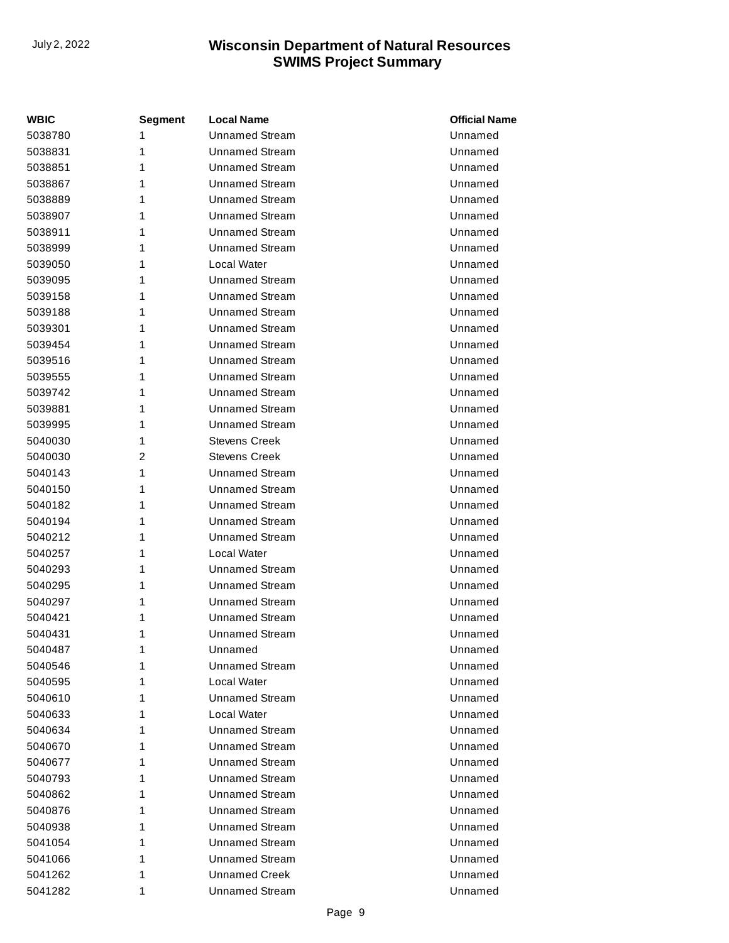| <b>WBIC</b> | Segment        | <b>Local Name</b>     | <b>Official Name</b> |
|-------------|----------------|-----------------------|----------------------|
| 5038780     | 1              | <b>Unnamed Stream</b> | Unnamed              |
| 5038831     | 1              | <b>Unnamed Stream</b> | Unnamed              |
| 5038851     | 1              | <b>Unnamed Stream</b> | Unnamed              |
| 5038867     | 1              | <b>Unnamed Stream</b> | Unnamed              |
| 5038889     | 1              | <b>Unnamed Stream</b> | Unnamed              |
| 5038907     | 1              | <b>Unnamed Stream</b> | Unnamed              |
| 5038911     | 1              | <b>Unnamed Stream</b> | Unnamed              |
| 5038999     | 1              | <b>Unnamed Stream</b> | Unnamed              |
| 5039050     | 1              | Local Water           | Unnamed              |
| 5039095     | 1              | <b>Unnamed Stream</b> | Unnamed              |
| 5039158     | 1              | <b>Unnamed Stream</b> | Unnamed              |
| 5039188     | 1              | Unnamed Stream        | Unnamed              |
| 5039301     | 1              | <b>Unnamed Stream</b> | Unnamed              |
| 5039454     | 1              | <b>Unnamed Stream</b> | Unnamed              |
| 5039516     | 1              | <b>Unnamed Stream</b> | Unnamed              |
| 5039555     | 1              | Unnamed Stream        | Unnamed              |
| 5039742     | 1              | <b>Unnamed Stream</b> | Unnamed              |
| 5039881     | 1              | <b>Unnamed Stream</b> | Unnamed              |
| 5039995     | 1              | <b>Unnamed Stream</b> | Unnamed              |
| 5040030     | 1              | Stevens Creek         | Unnamed              |
| 5040030     | $\overline{2}$ | <b>Stevens Creek</b>  | Unnamed              |
| 5040143     | 1              | <b>Unnamed Stream</b> | Unnamed              |
| 5040150     | 1              | <b>Unnamed Stream</b> | Unnamed              |
| 5040182     | 1              | <b>Unnamed Stream</b> | Unnamed              |
| 5040194     | 1              | <b>Unnamed Stream</b> | Unnamed              |
| 5040212     | 1              | <b>Unnamed Stream</b> | Unnamed              |
| 5040257     | 1              | Local Water           | Unnamed              |
| 5040293     | 1              | Unnamed Stream        | Unnamed              |
| 5040295     | 1              | <b>Unnamed Stream</b> | Unnamed              |
| 5040297     | 1              | <b>Unnamed Stream</b> | Unnamed              |
| 5040421     | 1              | <b>Unnamed Stream</b> | Unnamed              |
| 5040431     | 1              | Unnamed Stream        | Unnamed              |
| 5040487     | 1              | Unnamed               | Unnamed              |
| 5040546     | 1              | Unnamed Stream        | Unnamed              |
| 5040595     | 1              | Local Water           | Unnamed              |
| 5040610     | 1              | Unnamed Stream        | Unnamed              |
| 5040633     | 1              | Local Water           | Unnamed              |
| 5040634     | 1              | <b>Unnamed Stream</b> | Unnamed              |
| 5040670     | 1              | <b>Unnamed Stream</b> | Unnamed              |
| 5040677     | 1              | Unnamed Stream        | Unnamed              |
| 5040793     | 1              | <b>Unnamed Stream</b> | Unnamed              |
| 5040862     | 1              | <b>Unnamed Stream</b> | Unnamed              |
| 5040876     | 1              | <b>Unnamed Stream</b> | Unnamed              |
| 5040938     | 1              | Unnamed Stream        | Unnamed              |
| 5041054     | 1              | Unnamed Stream        | Unnamed              |
| 5041066     | 1              | <b>Unnamed Stream</b> | Unnamed              |
| 5041262     | 1              | <b>Unnamed Creek</b>  | Unnamed              |
| 5041282     | 1              | <b>Unnamed Stream</b> | Unnamed              |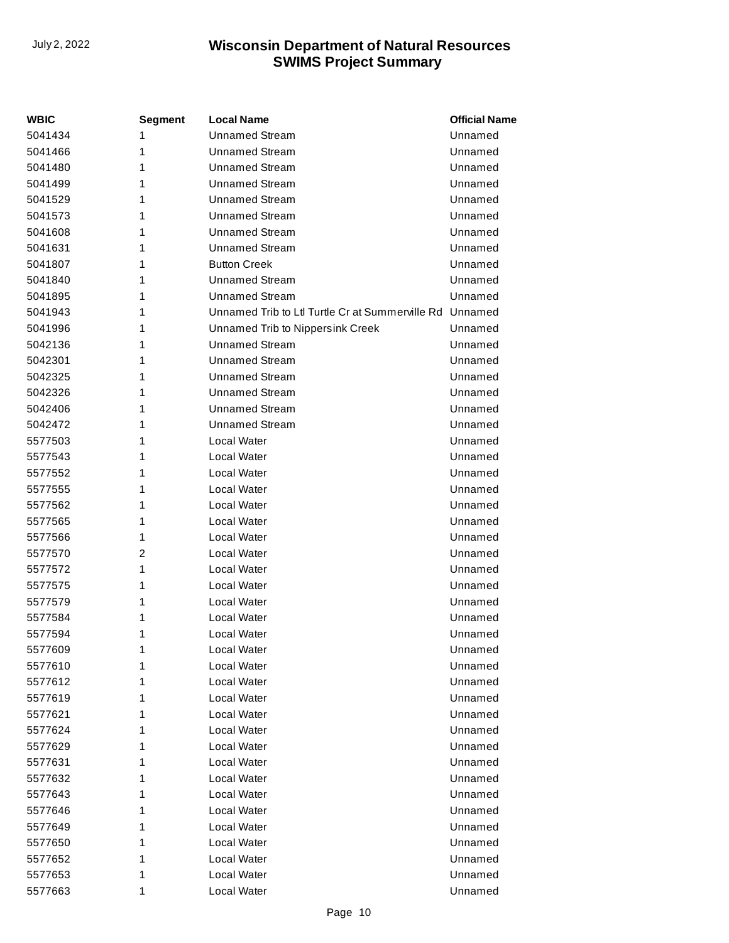| <b>WBIC</b> | Segment | <b>Local Name</b>                               | <b>Official Name</b> |
|-------------|---------|-------------------------------------------------|----------------------|
| 5041434     | 1       | <b>Unnamed Stream</b>                           | Unnamed              |
| 5041466     | 1       | <b>Unnamed Stream</b>                           | Unnamed              |
| 5041480     | 1       | Unnamed Stream                                  | Unnamed              |
| 5041499     | 1       | <b>Unnamed Stream</b>                           | Unnamed              |
| 5041529     | 1       | <b>Unnamed Stream</b>                           | Unnamed              |
| 5041573     | 1       | <b>Unnamed Stream</b>                           | Unnamed              |
| 5041608     | 1       | Unnamed Stream                                  | Unnamed              |
| 5041631     | 1       | <b>Unnamed Stream</b>                           | Unnamed              |
| 5041807     | 1       | <b>Button Creek</b>                             | Unnamed              |
| 5041840     | 1       | <b>Unnamed Stream</b>                           | Unnamed              |
| 5041895     | 1       | <b>Unnamed Stream</b>                           | Unnamed              |
| 5041943     | 1       | Unnamed Trib to Ltl Turtle Cr at Summerville Rd | Unnamed              |
| 5041996     | 1       | Unnamed Trib to Nippersink Creek                | Unnamed              |
| 5042136     | 1       | <b>Unnamed Stream</b>                           | Unnamed              |
| 5042301     | 1       | Unnamed Stream                                  | Unnamed              |
| 5042325     | 1       | <b>Unnamed Stream</b>                           | Unnamed              |
| 5042326     | 1       | <b>Unnamed Stream</b>                           | Unnamed              |
| 5042406     | 1       | <b>Unnamed Stream</b>                           | Unnamed              |
| 5042472     | 1       | <b>Unnamed Stream</b>                           | Unnamed              |
| 5577503     | 1       | Local Water                                     | Unnamed              |
| 5577543     | 1       | Local Water                                     | Unnamed              |
| 5577552     | 1       | Local Water                                     | Unnamed              |
| 5577555     | 1       | Local Water                                     | Unnamed              |
| 5577562     | 1       | Local Water                                     | Unnamed              |
| 5577565     | 1       | Local Water                                     | Unnamed              |
| 5577566     | 1       | Local Water                                     | Unnamed              |
| 5577570     | 2       | Local Water                                     | Unnamed              |
| 5577572     | 1       | Local Water                                     | Unnamed              |
| 5577575     | 1       | Local Water                                     | Unnamed              |
| 5577579     | 1       | Local Water                                     | Unnamed              |
| 5577584     | 1       | Local Water                                     | Unnamed              |
| 5577594     | 1       | Local Water                                     | Unnamed              |
| 5577609     | 1       | Local Water                                     | Unnamed              |
| 5577610     | 1       | Local Water                                     | Unnamed              |
| 5577612     | 1       | Local Water                                     | Unnamed              |
| 5577619     | 1       | Local Water                                     | Unnamed              |
| 5577621     | 1       | Local Water                                     | Unnamed              |
| 5577624     | 1       | Local Water                                     | Unnamed              |
| 5577629     | 1       | Local Water                                     | Unnamed              |
| 5577631     | 1       | Local Water                                     | Unnamed              |
| 5577632     | 1       | Local Water                                     | Unnamed              |
| 5577643     | 1       | Local Water                                     | Unnamed              |
| 5577646     | 1       | Local Water                                     | Unnamed              |
| 5577649     | 1       | Local Water                                     | Unnamed              |
| 5577650     | 1       | Local Water                                     | Unnamed              |
| 5577652     | 1       | Local Water                                     | Unnamed              |
| 5577653     | 1       | Local Water                                     | Unnamed              |
| 5577663     | 1       | Local Water                                     | Unnamed              |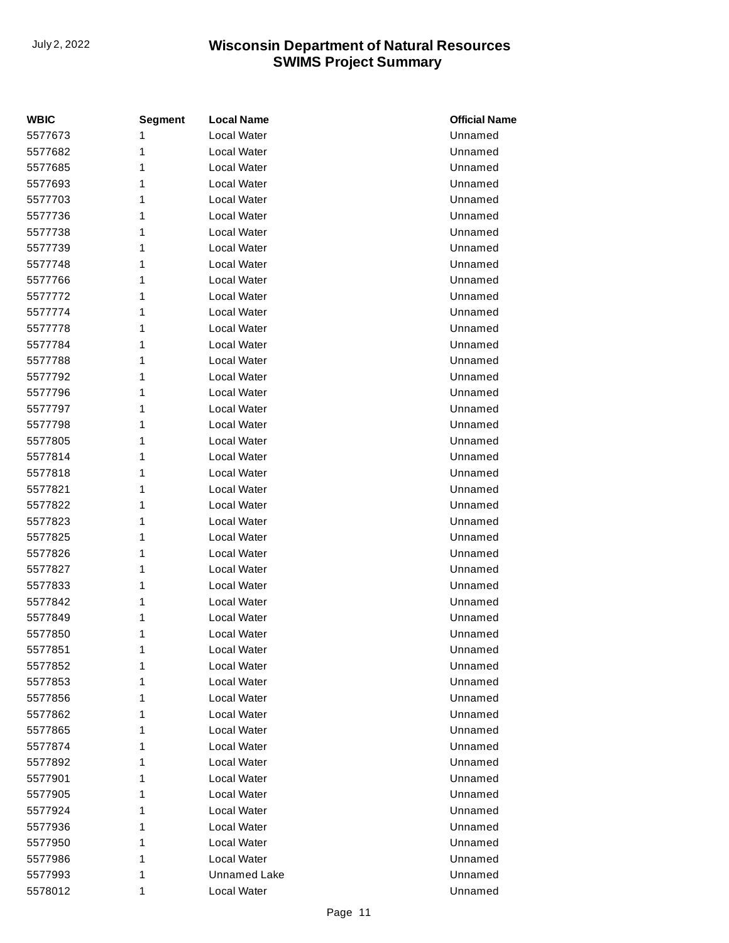| <b>WBIC</b> | <b>Segment</b> | <b>Local Name</b>   | <b>Official Name</b> |
|-------------|----------------|---------------------|----------------------|
| 5577673     | 1              | Local Water         | Unnamed              |
| 5577682     | 1              | Local Water         | Unnamed              |
| 5577685     | 1              | Local Water         | Unnamed              |
| 5577693     | 1              | Local Water         | Unnamed              |
| 5577703     | 1              | Local Water         | Unnamed              |
| 5577736     | 1              | Local Water         | Unnamed              |
| 5577738     | 1              | Local Water         | Unnamed              |
| 5577739     | 1              | Local Water         | Unnamed              |
| 5577748     | 1              | Local Water         | Unnamed              |
| 5577766     | 1              | Local Water         | Unnamed              |
| 5577772     | 1              | Local Water         | Unnamed              |
| 5577774     | 1              | Local Water         | Unnamed              |
| 5577778     | 1              | Local Water         | Unnamed              |
| 5577784     | 1              | Local Water         | Unnamed              |
| 5577788     | 1              | Local Water         | Unnamed              |
| 5577792     | 1              | Local Water         | Unnamed              |
| 5577796     | 1              | Local Water         | Unnamed              |
| 5577797     | 1              | Local Water         | Unnamed              |
| 5577798     | 1              | Local Water         | Unnamed              |
| 5577805     | 1              | Local Water         | Unnamed              |
| 5577814     | 1              | Local Water         | Unnamed              |
| 5577818     | 1              | Local Water         | Unnamed              |
| 5577821     | 1              | Local Water         | Unnamed              |
| 5577822     | 1              | Local Water         | Unnamed              |
| 5577823     | 1              | Local Water         | Unnamed              |
| 5577825     | 1              | Local Water         | Unnamed              |
| 5577826     | 1              | Local Water         | Unnamed              |
| 5577827     | 1              | Local Water         | Unnamed              |
| 5577833     | 1              | Local Water         | Unnamed              |
| 5577842     | 1              | Local Water         | Unnamed              |
| 5577849     | 1              | Local Water         | Unnamed              |
| 5577850     | 1              | Local Water         | Unnamed              |
| 5577851     | 1              | Local Water         | Unnamed              |
| 5577852     | 1              | Local Water         | Unnamed              |
| 5577853     | 1              | Local Water         | Unnamed              |
| 5577856     | 1              | Local Water         | Unnamed              |
| 5577862     | 1              | Local Water         | Unnamed              |
| 5577865     | 1              | Local Water         | Unnamed              |
| 5577874     | 1              | Local Water         | Unnamed              |
| 5577892     | 1              | Local Water         | Unnamed              |
| 5577901     | 1              | Local Water         | Unnamed              |
| 5577905     | 1              | Local Water         | Unnamed              |
| 5577924     | 1              | Local Water         | Unnamed              |
| 5577936     | 1              | Local Water         | Unnamed              |
| 5577950     | 1              | Local Water         | Unnamed              |
| 5577986     | 1              | Local Water         | Unnamed              |
| 5577993     | 1              | <b>Unnamed Lake</b> | Unnamed              |
| 5578012     | 1              | Local Water         | Unnamed              |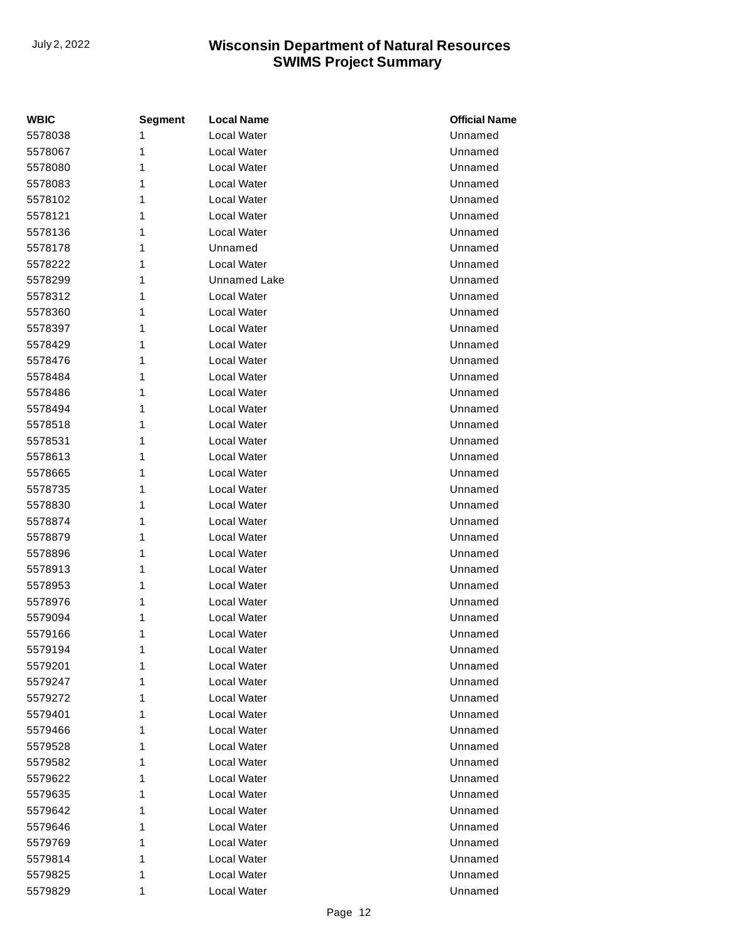| <b>WBIC</b> | <b>Segment</b> | <b>Local Name</b>   | <b>Official Name</b> |
|-------------|----------------|---------------------|----------------------|
| 5578038     | 1              | <b>Local Water</b>  | Unnamed              |
| 5578067     | 1              | Local Water         | Unnamed              |
| 5578080     | 1              | Local Water         | Unnamed              |
| 5578083     | 1              | Local Water         | Unnamed              |
| 5578102     | 1              | Local Water         | Unnamed              |
| 5578121     | 1              | <b>Local Water</b>  | Unnamed              |
| 5578136     | 1              | Local Water         | Unnamed              |
| 5578178     | 1              | Unnamed             | Unnamed              |
| 5578222     | 1              | Local Water         | Unnamed              |
| 5578299     | 1              | <b>Unnamed Lake</b> | Unnamed              |
| 5578312     | 1              | Local Water         | Unnamed              |
| 5578360     | 1              | Local Water         | Unnamed              |
| 5578397     | 1              | Local Water         | Unnamed              |
| 5578429     | 1              | <b>Local Water</b>  | Unnamed              |
| 5578476     | 1              | Local Water         | Unnamed              |
| 5578484     | 1              | Local Water         | Unnamed              |
| 5578486     | 1              | Local Water         | Unnamed              |
| 5578494     | 1              | Local Water         | Unnamed              |
| 5578518     | 1              | Local Water         | Unnamed              |
| 5578531     | 1              | Local Water         | Unnamed              |
| 5578613     | 1              | Local Water         | Unnamed              |
| 5578665     | 1              | <b>Local Water</b>  | Unnamed              |
| 5578735     | 1              | Local Water         | Unnamed              |
| 5578830     | 1              | Local Water         | Unnamed              |
| 5578874     | 1              | Local Water         | Unnamed              |
| 5578879     | 1              | Local Water         | Unnamed              |
| 5578896     | 1              | Local Water         | Unnamed              |
| 5578913     | 1              | Local Water         | Unnamed              |
| 5578953     | 1              | Local Water         | Unnamed              |
| 5578976     | 1              | Local Water         | Unnamed              |
| 5579094     | 1              | Local Water         | Unnamed              |
| 5579166     | 1              | Local Water         | Unnamed              |
| 5579194     | 1              | Local Water         | Unnamed              |
| 5579201     | 1              | Local Water         | Unnamed              |
| 5579247     | 1              | Local Water         | Unnamed              |
| 5579272     | 1              | Local Water         | Unnamed              |
| 5579401     | 1              | Local Water         | Unnamed              |
| 5579466     | 1              | Local Water         | Unnamed              |
| 5579528     | 1              | Local Water         | Unnamed              |
| 5579582     | 1              | Local Water         | Unnamed              |
| 5579622     | 1              | Local Water         | Unnamed              |
| 5579635     | 1              | Local Water         | Unnamed              |
| 5579642     | 1              | Local Water         | Unnamed              |
| 5579646     | 1              | Local Water         | Unnamed              |
| 5579769     | 1              | Local Water         | Unnamed              |
| 5579814     | 1              | Local Water         | Unnamed              |
| 5579825     | 1              | Local Water         | Unnamed              |
| 5579829     | 1              | Local Water         | Unnamed              |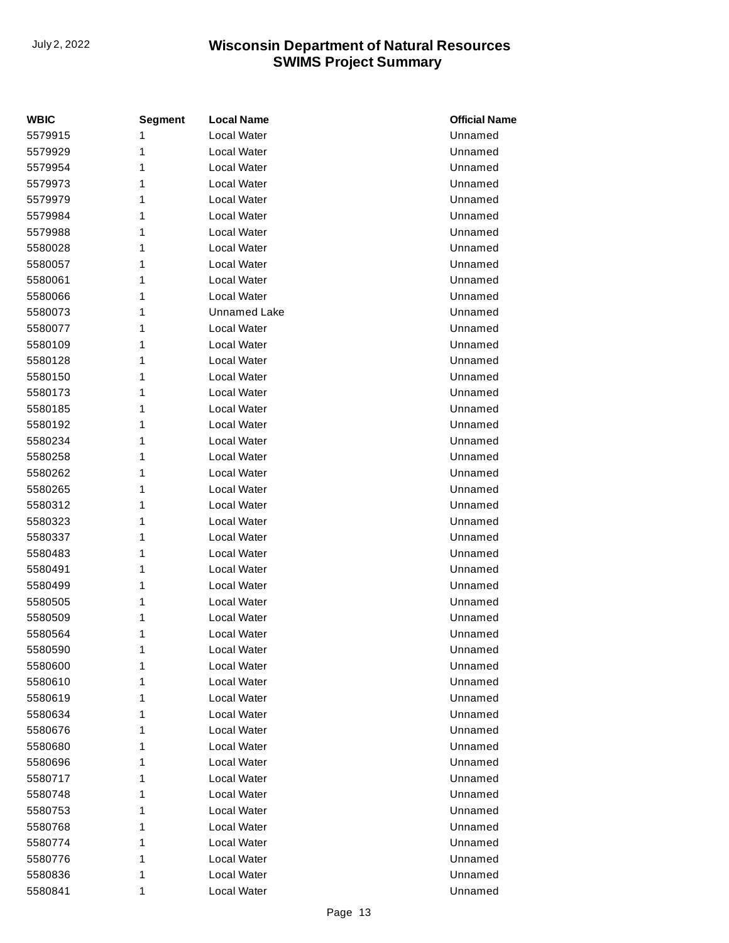| <b>WBIC</b> | <b>Segment</b> | <b>Local Name</b>  | <b>Official Name</b> |
|-------------|----------------|--------------------|----------------------|
| 5579915     | 1              | <b>Local Water</b> | Unnamed              |
| 5579929     | 1              | Local Water        | Unnamed              |
| 5579954     | 1              | Local Water        | Unnamed              |
| 5579973     | 1              | Local Water        | Unnamed              |
| 5579979     | 1              | Local Water        | Unnamed              |
| 5579984     | 1              | <b>Local Water</b> | Unnamed              |
| 5579988     | 1              | Local Water        | Unnamed              |
| 5580028     | 1              | Local Water        | Unnamed              |
| 5580057     | 1              | Local Water        | Unnamed              |
| 5580061     | 1              | Local Water        | Unnamed              |
| 5580066     | 1              | Local Water        | Unnamed              |
| 5580073     | 1              | Unnamed Lake       | Unnamed              |
| 5580077     | 1              | Local Water        | Unnamed              |
| 5580109     | 1              | <b>Local Water</b> | Unnamed              |
| 5580128     | 1              | Local Water        | Unnamed              |
| 5580150     | 1              | Local Water        | Unnamed              |
| 5580173     | 1              | Local Water        | Unnamed              |
| 5580185     | 1              | Local Water        | Unnamed              |
| 5580192     | 1              | Local Water        | Unnamed              |
| 5580234     | 1              | Local Water        | Unnamed              |
| 5580258     | 1              | Local Water        | Unnamed              |
| 5580262     | 1              | <b>Local Water</b> | Unnamed              |
| 5580265     | 1              | Local Water        | Unnamed              |
| 5580312     | 1              | Local Water        | Unnamed              |
| 5580323     | 1              | Local Water        | Unnamed              |
| 5580337     | 1              | Local Water        | Unnamed              |
| 5580483     | 1              | Local Water        | Unnamed              |
| 5580491     | 1              | Local Water        | Unnamed              |
| 5580499     | 1              | Local Water        | Unnamed              |
| 5580505     | 1              | Local Water        | Unnamed              |
| 5580509     | 1              | Local Water        | Unnamed              |
| 5580564     | 1              | Local Water        | Unnamed              |
| 5580590     | 1              | Local Water        | Unnamed              |
| 5580600     | 1              | <b>Local Water</b> | Unnamed              |
| 5580610     | 1              | Local Water        | Unnamed              |
| 5580619     | 1              | Local Water        | Unnamed              |
| 5580634     | 1              | Local Water        | Unnamed              |
| 5580676     | 1              | Local Water        | Unnamed              |
| 5580680     | 1              | Local Water        | Unnamed              |
| 5580696     | 1              | Local Water        | Unnamed              |
| 5580717     | 1              | Local Water        | Unnamed              |
| 5580748     | 1              | Local Water        | Unnamed              |
| 5580753     | 1              | Local Water        | Unnamed              |
| 5580768     | 1              | Local Water        | Unnamed              |
| 5580774     | 1              | Local Water        | Unnamed              |
| 5580776     | 1              | Local Water        | Unnamed              |
| 5580836     | 1              | Local Water        | Unnamed              |
| 5580841     | 1              | Local Water        | Unnamed              |